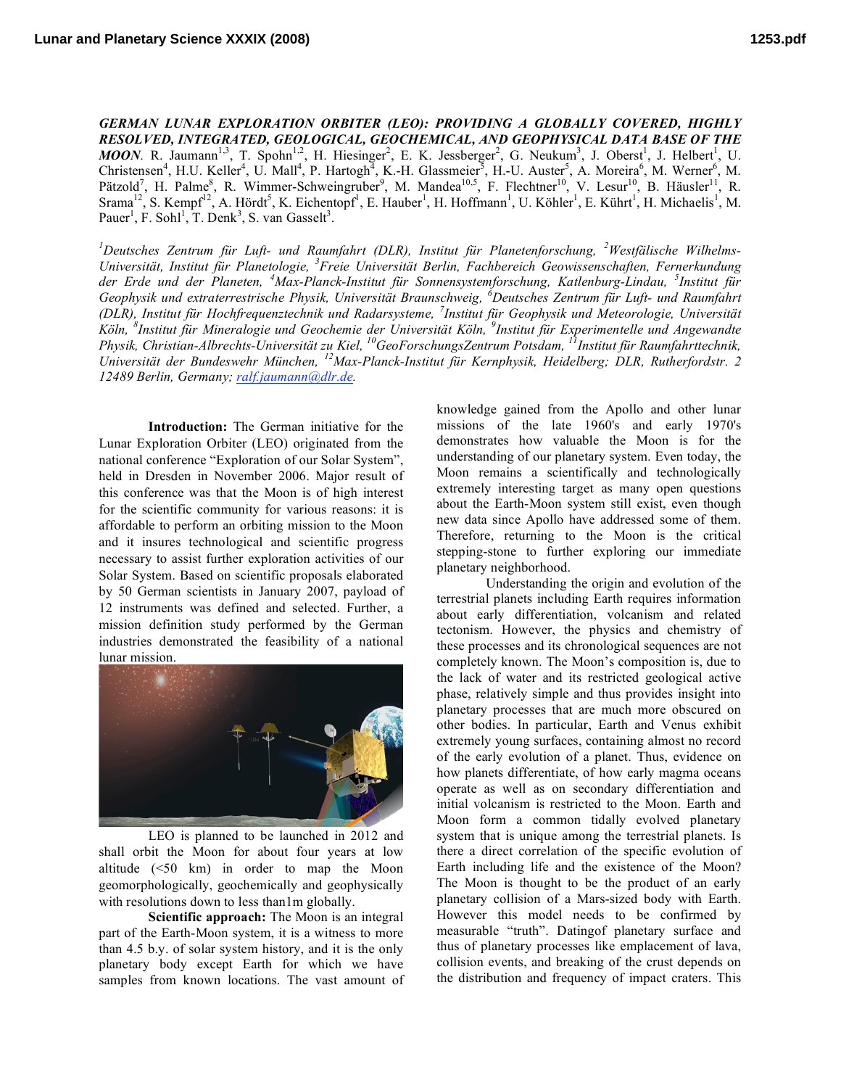*GERMAN LUNAR EXPLORATION ORBITER (LEO): PROVIDING A GLOBALLY COVERED, HIGHLY RESOLVED, INTEGRATED, GEOLOGICAL, GEOCHEMICAL, AND GEOPHYSICAL DATA BASE OF THE MOON*. R. Jaumann<sup>1,3</sup>, T. Spohn<sup>1,2</sup>, H. Hiesinger<sup>2</sup>, E. K. Jessberger<sup>2</sup>, G. Neukum<sup>3</sup>, J. Oberst<sup>1</sup>, J. Helbert<sup>1</sup>, U. Christensen<sup>4</sup>, H.U. Keller<sup>4</sup>, U. Mall<sup>4</sup>, P. Hartogh<sup>4</sup>, K.-H. Glassmeier<sup>3</sup>, H.-U. Auster<sup>5</sup>, A. Moreira<sup>6</sup>, M. Werner<sup>6</sup>, M. Pätzold<sup>7</sup>, H. Palme<sup>8</sup>, R. Wimmer-Schweingruber<sup>9</sup>, M. Mandea<sup>10,5</sup>, F. Flechtner<sup>10</sup>, V. Lesur<sup>10</sup>, B. Häusler<sup>11</sup>, R. Srama<sup>12</sup>, S. Kempf<sup>12</sup>, A. Hördt<sup>5</sup>, K. Eichentopf<sup>1</sup>, E. Hauber<sup>1</sup>, H. Hoffmann<sup>1</sup>, U. Köhler<sup>1</sup>, E. Kührt<sup>1</sup>, H. Michaelis<sup>1</sup>, M. Pauer<sup>1</sup>, F. Sohl<sup>1</sup>, T. Denk<sup>3</sup>, S. van Gasselt<sup>3</sup>.

*1 Deutsches Zentrum für Luft- und Raumfahrt (DLR), Institut für Planetenforschung, <sup>2</sup> Westfälische Wilhelms-Universität, Institut für Planetologie, <sup>3</sup> Freie Universität Berlin, Fachbereich Geowissenschaften, Fernerkundung der Erde und der Planeten, <sup>4</sup> Max-Planck-Institut für Sonnensystemforschung, Katlenburg-Lindau, <sup>5</sup> Institut für Geophysik und extraterrestrische Physik, Universität Braunschweig, <sup>6</sup> Deutsches Zentrum für Luft- und Raumfahrt (DLR), Institut für Hochfrequenztechnik und Radarsysteme, <sup>7</sup> Institut für Geophysik und Meteorologie, Universität* Köln, <sup>8</sup>Institut für Mineralogie und Geochemie der Universität Köln, <sup>9</sup>Institut für Experimentelle und Angewandte *Physik, Christian-Albrechts-Universität zu Kiel, <sup>10</sup> GeoForschungsZentrum Potsdam, <sup>11</sup> Institut für Raumfahrttechnik, Universität der Bundeswehr München, <sup>12</sup> Max-Planck-Institut für Kernphysik, Heidelberg; DLR, Rutherfordstr. 2 12489 Berlin, Germany; ralf.jaumann@dlr.de.*

**Introduction:** The German initiative for the Lunar Exploration Orbiter (LEO) originated from the national conference "Exploration of our Solar System", held in Dresden in November 2006. Major result of this conference was that the Moon is of high interest for the scientific community for various reasons: it is affordable to perform an orbiting mission to the Moon and it insures technological and scientific progress necessary to assist further exploration activities of our Solar System. Based on scientific proposals elaborated by 50 German scientists in January 2007, payload of 12 instruments was defined and selected. Further, a mission definition study performed by the German industries demonstrated the feasibility of a national lunar mission.



LEO is planned to be launched in 2012 and shall orbit the Moon for about four years at low altitude (<50 km) in order to map the Moon geomorphologically, geochemically and geophysically with resolutions down to less than1m globally.

**Scientific approach:** The Moon is an integral part of the Earth-Moon system, it is a witness to more than 4.5 b.y. of solar system history, and it is the only planetary body except Earth for which we have samples from known locations. The vast amount of knowledge gained from the Apollo and other lunar missions of the late 1960's and early 1970's demonstrates how valuable the Moon is for the understanding of our planetary system. Even today, the Moon remains a scientifically and technologically extremely interesting target as many open questions about the Earth-Moon system still exist, even though new data since Apollo have addressed some of them. Therefore, returning to the Moon is the critical stepping-stone to further exploring our immediate planetary neighborhood.

Understanding the origin and evolution of the terrestrial planets including Earth requires information about early differentiation, volcanism and related tectonism. However, the physics and chemistry of these processes and its chronological sequences are not completely known. The Moon's composition is, due to the lack of water and its restricted geological active phase, relatively simple and thus provides insight into planetary processes that are much more obscured on other bodies. In particular, Earth and Venus exhibit extremely young surfaces, containing almost no record of the early evolution of a planet. Thus, evidence on how planets differentiate, of how early magma oceans operate as well as on secondary differentiation and initial volcanism is restricted to the Moon. Earth and Moon form a common tidally evolved planetary system that is unique among the terrestrial planets. Is there a direct correlation of the specific evolution of Earth including life and the existence of the Moon? The Moon is thought to be the product of an early planetary collision of a Mars-sized body with Earth. However this model needs to be confirmed by measurable "truth". Datingof planetary surface and thus of planetary processes like emplacement of lava, collision events, and breaking of the crust depends on the distribution and frequency of impact craters. This